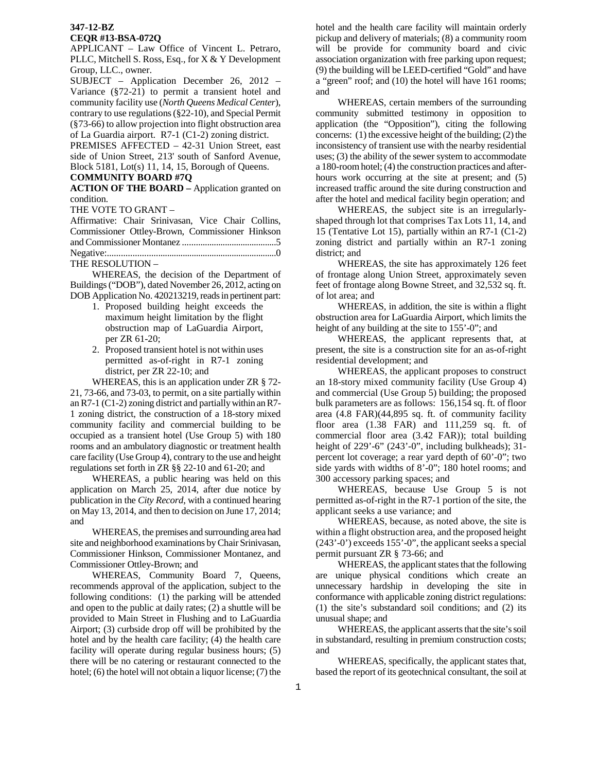APPLICANT – Law Office of Vincent L. Petraro, PLLC, Mitchell S. Ross, Esq., for X & Y Development Group, LLC., owner.

SUBJECT – Application December 26, 2012 – Variance (§72-21) to permit a transient hotel and community facility use (*North Queens Medical Center*), contrary to use regulations (§22-10), and Special Permit (§73-66) to allow projection into flight obstruction area of La Guardia airport. R7-1 (C1-2) zoning district.

PREMISES AFFECTED – 42-31 Union Street, east side of Union Street, 213' south of Sanford Avenue, Block 5181, Lot(s) 11, 14, 15, Borough of Queens.

# **COMMUNITY BOARD #7Q**

**ACTION OF THE BOARD –** Application granted on condition.

THE VOTE TO GRANT –

Affirmative: Chair Srinivasan, Vice Chair Collins, Commissioner Ottley-Brown, Commissioner Hinkson and Commissioner Montanez ..........................................5 Negative:...........................................................................0

THE RESOLUTION – WHEREAS, the decision of the Department of

Buildings ("DOB"), dated November 26, 2012, acting on DOB Application No. 420213219, reads in pertinent part:

- 1. Proposed building height exceeds the maximum height limitation by the flight obstruction map of LaGuardia Airport, per ZR 61-20;
- 2. Proposed transient hotel is not within uses permitted as-of-right in R7-1 zoning district, per ZR 22-10; and

WHEREAS, this is an application under ZR § 72- 21, 73-66, and 73-03, to permit, on a site partially within an R7-1 (C1-2) zoning district and partially within an R7- 1 zoning district, the construction of a 18-story mixed community facility and commercial building to be occupied as a transient hotel (Use Group 5) with 180 rooms and an ambulatory diagnostic or treatment health care facility (Use Group 4), contrary to the use and height regulations set forth in ZR §§ 22-10 and 61-20; and

WHEREAS, a public hearing was held on this application on March 25, 2014, after due notice by publication in the *City Record*, with a continued hearing on May 13, 2014, and then to decision on June 17, 2014; and

WHEREAS, the premises and surrounding area had site and neighborhood examinations by Chair Srinivasan, Commissioner Hinkson, Commissioner Montanez, and Commissioner Ottley-Brown; and

WHEREAS, Community Board 7, Queens, recommends approval of the application, subject to the following conditions: (1) the parking will be attended and open to the public at daily rates; (2) a shuttle will be provided to Main Street in Flushing and to LaGuardia Airport; (3) curbside drop off will be prohibited by the hotel and by the health care facility; (4) the health care facility will operate during regular business hours; (5) there will be no catering or restaurant connected to the hotel; (6) the hotel will not obtain a liquor license; (7) the hotel and the health care facility will maintain orderly pickup and delivery of materials; (8) a community room will be provide for community board and civic association organization with free parking upon request; (9) the building will be LEED-certified "Gold" and have a "green" roof; and (10) the hotel will have 161 rooms; and

WHEREAS, certain members of the surrounding community submitted testimony in opposition to application (the "Opposition"), citing the following concerns: (1) the excessive height of the building; (2) the inconsistency of transient use with the nearby residential uses; (3) the ability of the sewer system to accommodate a 180-room hotel; (4) the construction practices and afterhours work occurring at the site at present; and (5) increased traffic around the site during construction and after the hotel and medical facility begin operation; and

WHEREAS, the subject site is an irregularlyshaped through lot that comprises Tax Lots 11, 14, and 15 (Tentative Lot 15), partially within an R7-1 (C1-2) zoning district and partially within an R7-1 zoning district; and

WHEREAS, the site has approximately 126 feet of frontage along Union Street, approximately seven feet of frontage along Bowne Street, and 32,532 sq. ft. of lot area; and

WHEREAS, in addition, the site is within a flight obstruction area for LaGuardia Airport, which limits the height of any building at the site to 155'-0"; and

WHEREAS, the applicant represents that, at present, the site is a construction site for an as-of-right residential development; and

WHEREAS, the applicant proposes to construct an 18-story mixed community facility (Use Group 4) and commercial (Use Group 5) building; the proposed bulk parameters are as follows: 156,154 sq. ft. of floor area (4.8 FAR)(44,895 sq. ft. of community facility floor area (1.38 FAR) and 111,259 sq. ft. of commercial floor area (3.42 FAR)); total building height of 229'-6" (243'-0", including bulkheads); 31percent lot coverage; a rear yard depth of 60'-0"; two side yards with widths of 8'-0"; 180 hotel rooms; and 300 accessory parking spaces; and

WHEREAS, because Use Group 5 is not permitted as-of-right in the R7-1 portion of the site, the applicant seeks a use variance; and

WHEREAS, because, as noted above, the site is within a flight obstruction area, and the proposed height (243'-0') exceeds 155'-0", the applicant seeks a special permit pursuant ZR § 73-66; and

WHEREAS, the applicant states that the following are unique physical conditions which create an unnecessary hardship in developing the site in conformance with applicable zoning district regulations: (1) the site's substandard soil conditions; and (2) its unusual shape; and

WHEREAS, the applicant asserts that the site's soil in substandard, resulting in premium construction costs; and

WHEREAS, specifically, the applicant states that, based the report of its geotechnical consultant, the soil at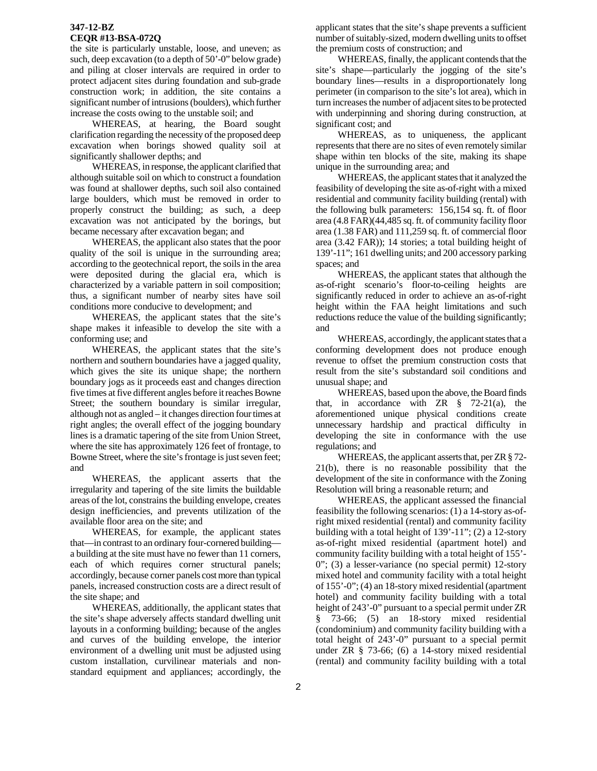the site is particularly unstable, loose, and uneven; as such, deep excavation (to a depth of 50'-0" below grade) and piling at closer intervals are required in order to protect adjacent sites during foundation and sub-grade construction work; in addition, the site contains a significant number of intrusions (boulders), which further increase the costs owing to the unstable soil; and

WHEREAS, at hearing, the Board sought clarification regarding the necessity of the proposed deep excavation when borings showed quality soil at significantly shallower depths; and

WHEREAS, in response, the applicant clarified that although suitable soil on which to construct a foundation was found at shallower depths, such soil also contained large boulders, which must be removed in order to properly construct the building; as such, a deep excavation was not anticipated by the borings, but became necessary after excavation began; and

WHEREAS, the applicant also states that the poor quality of the soil is unique in the surrounding area; according to the geotechnical report, the soils in the area were deposited during the glacial era, which is characterized by a variable pattern in soil composition; thus, a significant number of nearby sites have soil conditions more conducive to development; and

WHEREAS, the applicant states that the site's shape makes it infeasible to develop the site with a conforming use; and

WHEREAS, the applicant states that the site's northern and southern boundaries have a jagged quality, which gives the site its unique shape; the northern boundary jogs as it proceeds east and changes direction five times at five different angles before it reaches Bowne Street; the southern boundary is similar irregular, although not as angled – it changes direction four times at right angles; the overall effect of the jogging boundary lines is a dramatic tapering of the site from Union Street, where the site has approximately 126 feet of frontage, to Bowne Street, where the site's frontage is just seven feet; and

WHEREAS, the applicant asserts that the irregularity and tapering of the site limits the buildable areas of the lot, constrains the building envelope, creates design inefficiencies, and prevents utilization of the available floor area on the site; and

WHEREAS, for example, the applicant states that—in contrast to an ordinary four-cornered building a building at the site must have no fewer than 11 corners, each of which requires corner structural panels; accordingly, because corner panels cost more than typical panels, increased construction costs are a direct result of the site shape; and

WHEREAS, additionally, the applicant states that the site's shape adversely affects standard dwelling unit layouts in a conforming building; because of the angles and curves of the building envelope, the interior environment of a dwelling unit must be adjusted using custom installation, curvilinear materials and nonstandard equipment and appliances; accordingly, the

applicant states that the site's shape prevents a sufficient number of suitably-sized, modern dwelling units to offset the premium costs of construction; and

WHEREAS, finally, the applicant contends that the site's shape—particularly the jogging of the site's boundary lines—results in a disproportionately long perimeter (in comparison to the site's lot area), which in turn increases the number of adjacent sites to be protected with underpinning and shoring during construction, at significant cost; and

WHEREAS, as to uniqueness, the applicant represents that there are no sites of even remotely similar shape within ten blocks of the site, making its shape unique in the surrounding area; and

WHEREAS, the applicant states that it analyzed the feasibility of developing the site as-of-right with a mixed residential and community facility building (rental) with the following bulk parameters: 156,154 sq. ft. of floor area (4.8 FAR)(44,485 sq. ft. of community facility floor area (1.38 FAR) and 111,259 sq. ft. of commercial floor area (3.42 FAR)); 14 stories; a total building height of 139'-11"; 161 dwelling units; and 200 accessory parking spaces; and

WHEREAS, the applicant states that although the as-of-right scenario's floor-to-ceiling heights are significantly reduced in order to achieve an as-of-right height within the FAA height limitations and such reductions reduce the value of the building significantly; and

WHEREAS, accordingly, the applicant states that a conforming development does not produce enough revenue to offset the premium construction costs that result from the site's substandard soil conditions and unusual shape; and

WHEREAS, based upon the above, the Board finds that, in accordance with  $ZR$   $§$  72-21(a), the aforementioned unique physical conditions create unnecessary hardship and practical difficulty in developing the site in conformance with the use regulations; and

WHEREAS, the applicant asserts that, per ZR § 72- 21(b), there is no reasonable possibility that the development of the site in conformance with the Zoning Resolution will bring a reasonable return; and

WHEREAS, the applicant assessed the financial feasibility the following scenarios: (1) a 14-story as-ofright mixed residential (rental) and community facility building with a total height of  $139'$ -11"; (2) a 12-story as-of-right mixed residential (apartment hotel) and community facility building with a total height of 155'- 0"; (3) a lesser-variance (no special permit) 12-story mixed hotel and community facility with a total height of 155'-0"; (4) an 18-story mixed residential (apartment hotel) and community facility building with a total height of 243'-0" pursuant to a special permit under ZR § 73-66; (5) an 18-story mixed residential (condominium) and community facility building with a total height of 243'-0" pursuant to a special permit under ZR § 73-66; (6) a 14-story mixed residential (rental) and community facility building with a total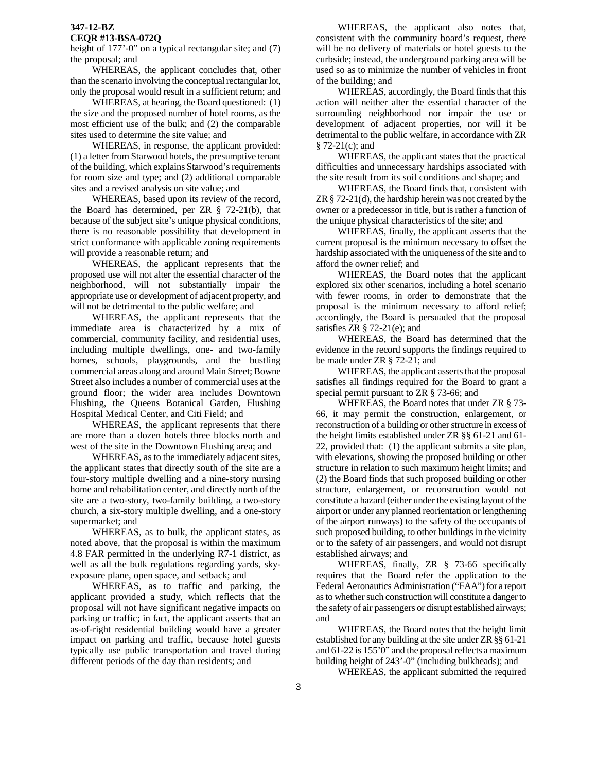height of 177'-0" on a typical rectangular site; and (7) the proposal; and

WHEREAS, the applicant concludes that, other than the scenario involving the conceptual rectangular lot, only the proposal would result in a sufficient return; and

WHEREAS, at hearing, the Board questioned: (1) the size and the proposed number of hotel rooms, as the most efficient use of the bulk; and (2) the comparable sites used to determine the site value; and

WHEREAS, in response, the applicant provided: (1) a letter from Starwood hotels, the presumptive tenant of the building, which explains Starwood's requirements for room size and type; and (2) additional comparable sites and a revised analysis on site value; and

WHEREAS, based upon its review of the record, the Board has determined, per ZR § 72-21(b), that because of the subject site's unique physical conditions, there is no reasonable possibility that development in strict conformance with applicable zoning requirements will provide a reasonable return; and

WHEREAS, the applicant represents that the proposed use will not alter the essential character of the neighborhood, will not substantially impair the appropriate use or development of adjacent property, and will not be detrimental to the public welfare; and

WHEREAS, the applicant represents that the immediate area is characterized by a mix of commercial, community facility, and residential uses, including multiple dwellings, one- and two-family homes, schools, playgrounds, and the bustling commercial areas along and around Main Street; Bowne Street also includes a number of commercial uses at the ground floor; the wider area includes Downtown Flushing, the Queens Botanical Garden, Flushing Hospital Medical Center, and Citi Field; and

WHEREAS, the applicant represents that there are more than a dozen hotels three blocks north and west of the site in the Downtown Flushing area; and

WHEREAS, as to the immediately adjacent sites, the applicant states that directly south of the site are a four-story multiple dwelling and a nine-story nursing home and rehabilitation center, and directly north of the site are a two-story, two-family building, a two-story church, a six-story multiple dwelling, and a one-story supermarket; and

WHEREAS, as to bulk, the applicant states, as noted above, that the proposal is within the maximum 4.8 FAR permitted in the underlying R7-1 district, as well as all the bulk regulations regarding yards, skyexposure plane, open space, and setback; and

WHEREAS, as to traffic and parking, the applicant provided a study, which reflects that the proposal will not have significant negative impacts on parking or traffic; in fact, the applicant asserts that an as-of-right residential building would have a greater impact on parking and traffic, because hotel guests typically use public transportation and travel during different periods of the day than residents; and

WHEREAS, the applicant also notes that, consistent with the community board's request, there will be no delivery of materials or hotel guests to the curbside; instead, the underground parking area will be used so as to minimize the number of vehicles in front of the building; and

WHEREAS, accordingly, the Board finds that this action will neither alter the essential character of the surrounding neighborhood nor impair the use or development of adjacent properties, nor will it be detrimental to the public welfare, in accordance with ZR § 72-21(c); and

WHEREAS, the applicant states that the practical difficulties and unnecessary hardships associated with the site result from its soil conditions and shape; and

WHEREAS, the Board finds that, consistent with ZR § 72-21(d), the hardship herein was not created by the owner or a predecessor in title, but is rather a function of the unique physical characteristics of the site; and

WHEREAS, finally, the applicant asserts that the current proposal is the minimum necessary to offset the hardship associated with the uniqueness of the site and to afford the owner relief; and

WHEREAS, the Board notes that the applicant explored six other scenarios, including a hotel scenario with fewer rooms, in order to demonstrate that the proposal is the minimum necessary to afford relief; accordingly, the Board is persuaded that the proposal satisfies ZR § 72-21(e); and

WHEREAS, the Board has determined that the evidence in the record supports the findings required to be made under ZR § 72-21; and

WHEREAS, the applicant asserts that the proposal satisfies all findings required for the Board to grant a special permit pursuant to ZR § 73-66; and

WHEREAS, the Board notes that under ZR § 73- 66, it may permit the construction, enlargement, or reconstruction of a building or other structure in excess of the height limits established under ZR §§ 61-21 and 61- 22, provided that: (1) the applicant submits a site plan, with elevations, showing the proposed building or other structure in relation to such maximum height limits; and (2) the Board finds that such proposed building or other structure, enlargement, or reconstruction would not constitute a hazard (either under the existing layout of the airport or under any planned reorientation or lengthening of the airport runways) to the safety of the occupants of such proposed building, to other buildings in the vicinity or to the safety of air passengers, and would not disrupt established airways; and

WHEREAS, finally, ZR § 73-66 specifically requires that the Board refer the application to the Federal Aeronautics Administration ("FAA") for a report as to whether such construction will constitute a danger to the safety of air passengers or disrupt established airways; and

WHEREAS, the Board notes that the height limit established for any building at the site under ZR §§ 61-21 and 61-22 is 155'0" and the proposal reflects a maximum building height of 243'-0" (including bulkheads); and

WHEREAS, the applicant submitted the required